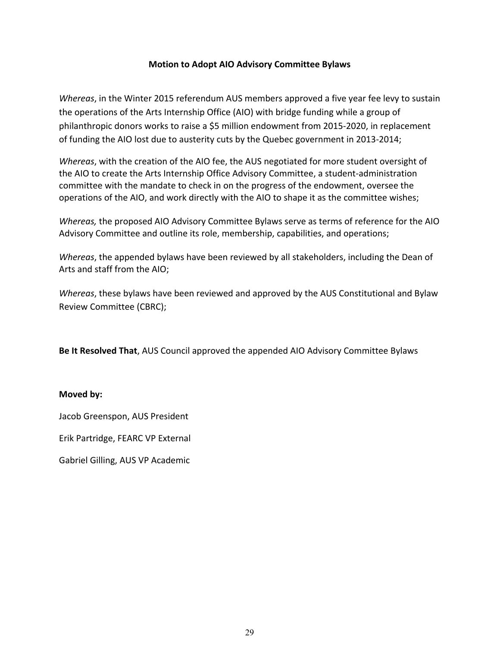#### **Motion to Adopt AIO Advisory Committee Bylaws**

*Whereas*, in the Winter 2015 referendum AUS members approved a five year fee levy to sustain the operations of the Arts Internship Office (AIO) with bridge funding while a group of philanthropic donors works to raise a \$5 million endowment from 2015-2020, in replacement of funding the AIO lost due to austerity cuts by the Quebec government in 2013-2014;

*Whereas*, with the creation of the AIO fee, the AUS negotiated for more student oversight of the AIO to create the Arts Internship Office Advisory Committee, a student-administration committee with the mandate to check in on the progress of the endowment, oversee the operations of the AIO, and work directly with the AIO to shape it as the committee wishes;

*Whereas*, the proposed AIO Advisory Committee Bylaws serve as terms of reference for the AIO Advisory Committee and outline its role, membership, capabilities, and operations;

*Whereas*, the appended bylaws have been reviewed by all stakeholders, including the Dean of Arts and staff from the AIO;

*Whereas*, these bylaws have been reviewed and approved by the AUS Constitutional and Bylaw Review Committee (CBRC);

**Be It Resolved That**, AUS Council approved the appended AIO Advisory Committee Bylaws

#### **Moved** by:

Jacob Greenspon, AUS President

Erik Partridge, FEARC VP External

Gabriel Gilling, AUS VP Academic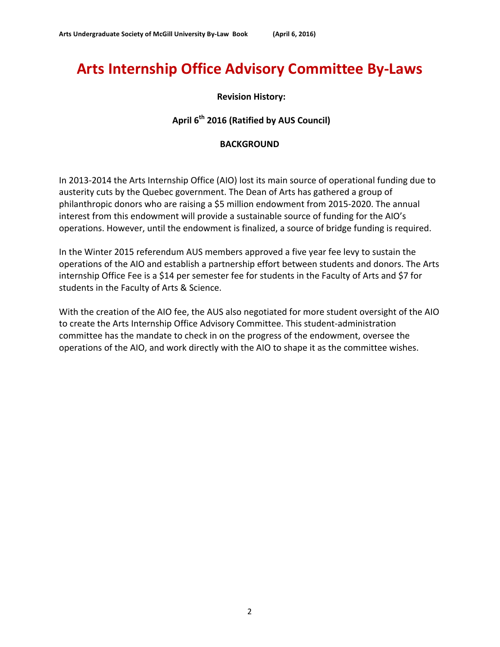# **Arts Internship Office Advisory Committee By-Laws**

### **Revision History:**

# April 6<sup>th</sup> 2016 (Ratified by AUS Council)

#### **BACKGROUND**

In 2013-2014 the Arts Internship Office (AIO) lost its main source of operational funding due to austerity cuts by the Quebec government. The Dean of Arts has gathered a group of philanthropic donors who are raising a \$5 million endowment from 2015-2020. The annual interest from this endowment will provide a sustainable source of funding for the AIO's operations. However, until the endowment is finalized, a source of bridge funding is required.

In the Winter 2015 referendum AUS members approved a five year fee levy to sustain the operations of the AIO and establish a partnership effort between students and donors. The Arts internship Office Fee is a \$14 per semester fee for students in the Faculty of Arts and \$7 for students in the Faculty of Arts & Science.

With the creation of the AIO fee, the AUS also negotiated for more student oversight of the AIO to create the Arts Internship Office Advisory Committee. This student-administration committee has the mandate to check in on the progress of the endowment, oversee the operations of the AIO, and work directly with the AIO to shape it as the committee wishes.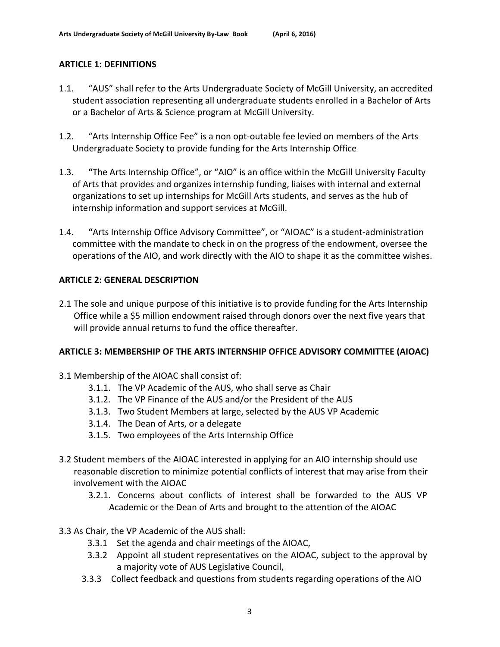# **ARTICLE 1: DEFINITIONS**

- 1.1. "AUS" shall refer to the Arts Undergraduate Society of McGill University, an accredited student association representing all undergraduate students enrolled in a Bachelor of Arts or a Bachelor of Arts & Science program at McGill University.
- 1.2. "Arts Internship Office Fee" is a non opt-outable fee levied on members of the Arts Undergraduate Society to provide funding for the Arts Internship Office
- 1.3. **"**The Arts Internship Office", or "AIO" is an office within the McGill University Faculty of Arts that provides and organizes internship funding, liaises with internal and external organizations to set up internships for McGill Arts students, and serves as the hub of internship information and support services at McGill.
- 1.4. **"**Arts Internship Office Advisory Committee", or "AIOAC" is a student-administration committee with the mandate to check in on the progress of the endowment, oversee the operations of the AIO, and work directly with the AIO to shape it as the committee wishes.

# **ARTICLE 2: GENERAL DESCRIPTION**

2.1 The sole and unique purpose of this initiative is to provide funding for the Arts Internship Office while a \$5 million endowment raised through donors over the next five years that will provide annual returns to fund the office thereafter.

#### **ARTICLE 3: MEMBERSHIP OF THE ARTS INTERNSHIP OFFICE ADVISORY COMMITTEE (AIOAC)**

- 3.1 Membership of the AIOAC shall consist of:
	- 3.1.1. The VP Academic of the AUS, who shall serve as Chair
	- 3.1.2. The VP Finance of the AUS and/or the President of the AUS
	- 3.1.3. Two Student Members at large, selected by the AUS VP Academic
	- 3.1.4. The Dean of Arts, or a delegate
	- 3.1.5. Two employees of the Arts Internship Office
- 3.2 Student members of the AIOAC interested in applying for an AIO internship should use reasonable discretion to minimize potential conflicts of interest that may arise from their involvement with the AIOAC
	- 3.2.1. Concerns about conflicts of interest shall be forwarded to the AUS VP Academic or the Dean of Arts and brought to the attention of the AIOAC
- 3.3 As Chair, the VP Academic of the AUS shall:
	- 3.3.1 Set the agenda and chair meetings of the AIOAC,
	- 3.3.2 Appoint all student representatives on the AIOAC, subject to the approval by a majority vote of AUS Legislative Council,
	- 3.3.3 Collect feedback and questions from students regarding operations of the AIO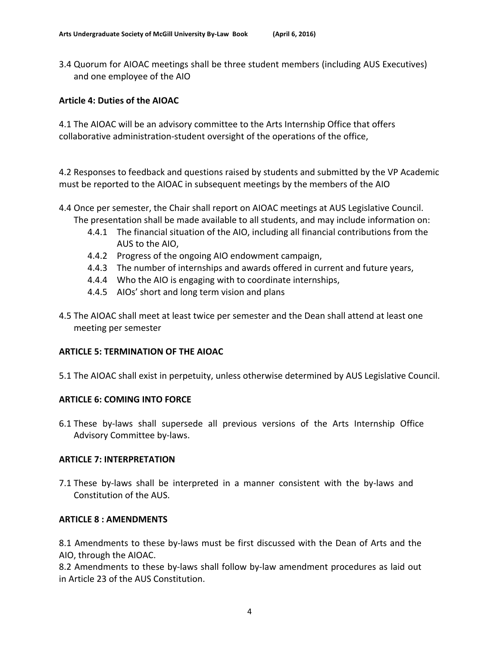3.4 Quorum for AIOAC meetings shall be three student members (including AUS Executives) and one employee of the AIO

#### **Article 4: Duties of the AIOAC**

4.1 The AIOAC will be an advisory committee to the Arts Internship Office that offers collaborative administration-student oversight of the operations of the office,

4.2 Responses to feedback and questions raised by students and submitted by the VP Academic must be reported to the AIOAC in subsequent meetings by the members of the AIO

- 4.4 Once per semester, the Chair shall report on AIOAC meetings at AUS Legislative Council. The presentation shall be made available to all students, and may include information on:
	- 4.4.1 The financial situation of the AIO, including all financial contributions from the AUS to the AIO,
	- 4.4.2 Progress of the ongoing AIO endowment campaign,
	- 4.4.3 The number of internships and awards offered in current and future years,
	- 4.4.4 Who the AIO is engaging with to coordinate internships,
	- 4.4.5 AIOs' short and long term vision and plans
- 4.5 The AIOAC shall meet at least twice per semester and the Dean shall attend at least one meeting per semester

#### **ARTICLE 5: TERMINATION OF THE AIOAC**

5.1 The AIOAC shall exist in perpetuity, unless otherwise determined by AUS Legislative Council.

#### **ARTICLE 6: COMING INTO FORCE**

6.1 These by-laws shall supersede all previous versions of the Arts Internship Office Advisory Committee by-laws.

#### **ARTICLE 7: INTERPRETATION**

7.1 These by-laws shall be interpreted in a manner consistent with the by-laws and Constitution of the AUS.

#### **ARTICLE 8 : AMENDMENTS**

8.1 Amendments to these by-laws must be first discussed with the Dean of Arts and the AIO, through the AIOAC.

8.2 Amendments to these by-laws shall follow by-law amendment procedures as laid out in Article 23 of the AUS Constitution.